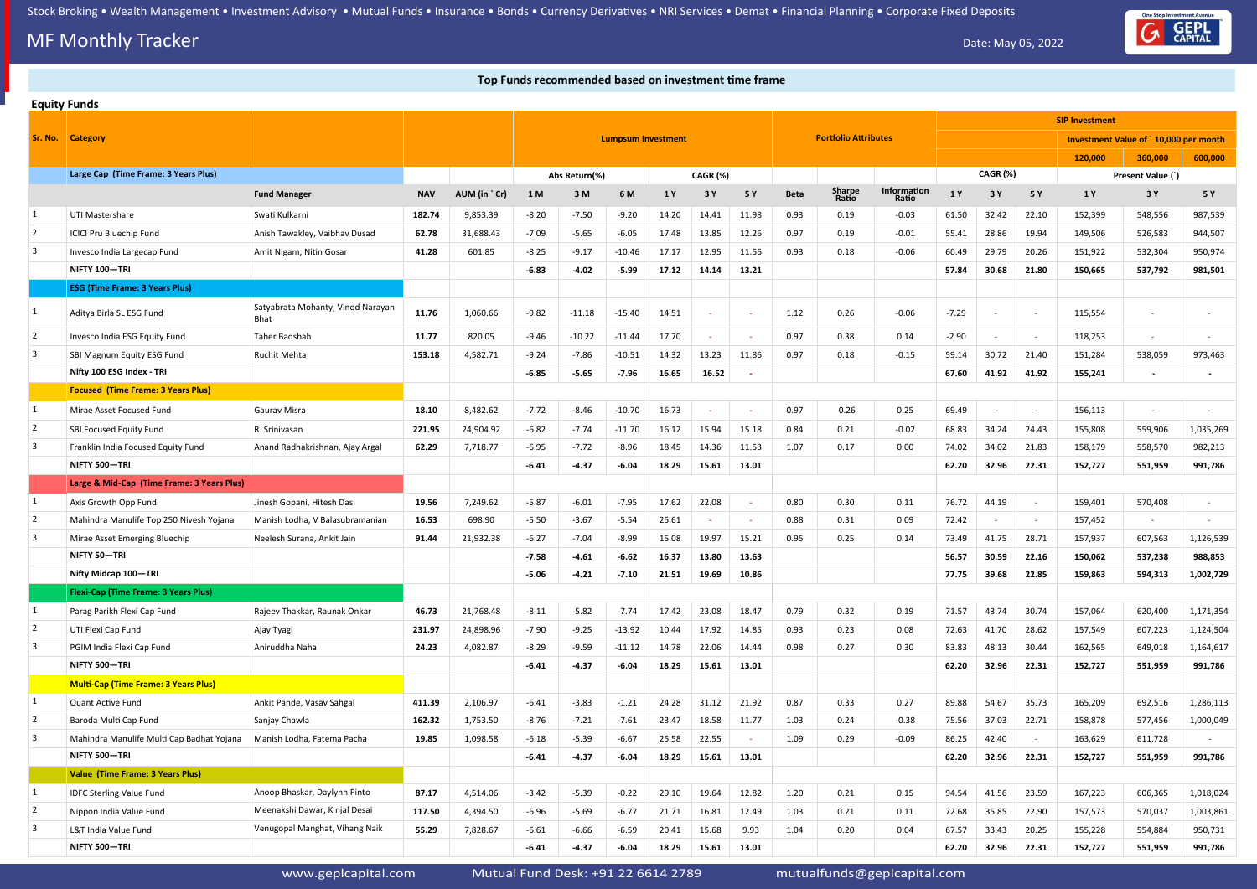## **MF Monthly Tracker** Date: May 05, 2022

#### **Top Funds recommended based on investment time frame Top Funds recommended based on investment time frame**

www.geplcapital.com Mutual Fund Desk: +91 22 6614 2789 mutualfunds@geplcapital.com



|                         | <b>Equity Funds</b>                         |                                           |            |              |         |               |                           |       |          |       |             |                             |                      |         |                 |        |                                       |                          |           |
|-------------------------|---------------------------------------------|-------------------------------------------|------------|--------------|---------|---------------|---------------------------|-------|----------|-------|-------------|-----------------------------|----------------------|---------|-----------------|--------|---------------------------------------|--------------------------|-----------|
|                         |                                             |                                           |            |              |         |               |                           |       |          |       |             |                             |                      |         |                 |        | <b>SIP Investment</b>                 |                          |           |
| Sr. No.                 | <b>Category</b>                             |                                           |            |              |         |               | <b>Lumpsum Investment</b> |       |          |       |             | <b>Portfolio Attributes</b> |                      |         |                 |        | Investment Value of `10,000 per month |                          |           |
|                         |                                             |                                           |            |              |         |               |                           |       |          |       |             |                             |                      |         |                 |        | 120,000                               | 360,000                  | 600,000   |
|                         | Large Cap (Time Frame: 3 Years Plus)        |                                           |            |              |         | Abs Return(%) |                           |       | CAGR (%) |       |             |                             |                      |         | <b>CAGR (%)</b> |        |                                       | Present Value (`)        |           |
|                         |                                             | <b>Fund Manager</b>                       | <b>NAV</b> | AUM (in `Cr) | 1 M     | 3M            | 6 M                       | 1 Y   | 3 Y      | 5 Y   | <b>Beta</b> | Sharpe<br>Ratio             | Information<br>Ratio | 1 Y     | 3 Y             | 5 Y    | 1 Y                                   | 3 Y                      | 5 Y       |
| 1                       | UTI Mastershare                             | Swati Kulkarni                            | 182.74     | 9,853.39     | $-8.20$ | $-7.50$       | $-9.20$                   | 14.20 | 14.41    | 11.98 | 0.93        | 0.19                        | $-0.03$              | 61.50   | 32.42           | 22.10  | 152,399                               | 548,556                  | 987,539   |
| $\overline{2}$          | <b>ICICI Pru Bluechip Fund</b>              | Anish Tawakley, Vaibhav Dusad             | 62.78      | 31,688.43    | $-7.09$ | $-5.65$       | $-6.05$                   | 17.48 | 13.85    | 12.26 | 0.97        | 0.19                        | $-0.01$              | 55.41   | 28.86           | 19.94  | 149,506                               | 526,583                  | 944,507   |
| $\overline{3}$          | Invesco India Largecap Fund                 | Amit Nigam, Nitin Gosar                   | 41.28      | 601.85       | -8.25   | $-9.17$       | $-10.46$                  | 17.17 | 12.95    | 11.56 | 0.93        | 0.18                        | $-0.06$              | 60.49   | 29.79           | 20.26  | 151,922                               | 532,304                  | 950,974   |
|                         | NIFTY 100-TRI                               |                                           |            |              | $-6.83$ | $-4.02$       | $-5.99$                   | 17.12 | 14.14    | 13.21 |             |                             |                      | 57.84   | 30.68           | 21.80  | 150,665                               | 537,792                  | 981,501   |
|                         | <b>ESG (Time Frame: 3 Years Plus)</b>       |                                           |            |              |         |               |                           |       |          |       |             |                             |                      |         |                 |        |                                       |                          |           |
| 1                       | Aditya Birla SL ESG Fund                    | Satyabrata Mohanty, Vinod Narayan<br>Bhat | 11.76      | 1,060.66     | $-9.82$ | $-11.18$      | $-15.40$                  | 14.51 | $\sim$   |       | 1.12        | 0.26                        | $-0.06$              | $-7.29$ |                 | $\sim$ | 115,554                               | $\sim$                   |           |
| $\overline{2}$          | Invesco India ESG Equity Fund               | Taher Badshah                             | 11.77      | 820.05       | $-9.46$ | $-10.22$      | $-11.44$                  | 17.70 |          |       | 0.97        | 0.38                        | 0.14                 | $-2.90$ |                 | $\sim$ | 118,253                               | $\overline{\phantom{a}}$ |           |
| $\overline{\mathbf{3}}$ | SBI Magnum Equity ESG Fund                  | <b>Ruchit Mehta</b>                       | 153.18     | 4,582.71     | $-9.24$ | $-7.86$       | $-10.51$                  | 14.32 | 13.23    | 11.86 | 0.97        | 0.18                        | $-0.15$              | 59.14   | 30.72           | 21.40  | 151,284                               | 538,059                  | 973,463   |
|                         | Nifty 100 ESG Index - TRI                   |                                           |            |              | $-6.85$ | $-5.65$       | $-7.96$                   | 16.65 | 16.52    |       |             |                             |                      | 67.60   | 41.92           | 41.92  | 155,241                               |                          |           |
|                         | <b>Focused (Time Frame: 3 Years Plus)</b>   |                                           |            |              |         |               |                           |       |          |       |             |                             |                      |         |                 |        |                                       |                          |           |
| 1                       | Mirae Asset Focused Fund                    | <b>Gaurav Misra</b>                       | 18.10      | 8,482.62     | $-7.72$ | $-8.46$       | $-10.70$                  | 16.73 |          |       | 0.97        | 0.26                        | 0.25                 | 69.49   |                 | $\sim$ | 156,113                               | $\sim$                   |           |
| 2                       | SBI Focused Equity Fund                     | R. Srinivasan                             | 221.95     | 24,904.92    | $-6.82$ | $-7.74$       | $-11.70$                  | 16.12 | 15.94    | 15.18 | 0.84        | 0.21                        | $-0.02$              | 68.83   | 34.24           | 24.43  | 155,808                               | 559,906                  | 1,035,269 |
| 3                       | Franklin India Focused Equity Fund          | Anand Radhakrishnan, Ajay Argal           | 62.29      | 7,718.77     | $-6.95$ | $-7.72$       | $-8.96$                   | 18.45 | 14.36    | 11.53 | 1.07        | 0.17                        | 0.00                 | 74.02   | 34.02           | 21.83  | 158,179                               | 558,570                  | 982,213   |
|                         | NIFTY 500-TRI                               |                                           |            |              | $-6.41$ | $-4.37$       | $-6.04$                   | 18.29 | 15.61    | 13.01 |             |                             |                      | 62.20   | 32.96           | 22.31  | 152,727                               | 551,959                  | 991,786   |
|                         | Large & Mid-Cap (Time Frame: 3 Years Plus)  |                                           |            |              |         |               |                           |       |          |       |             |                             |                      |         |                 |        |                                       |                          |           |
| 1                       | Axis Growth Opp Fund                        | Jinesh Gopani, Hitesh Das                 | 19.56      | 7,249.62     | $-5.87$ | $-6.01$       | $-7.95$                   | 17.62 | 22.08    |       | 0.80        | 0.30                        | 0.11                 | 76.72   | 44.19           | $\sim$ | 159,401                               | 570,408                  |           |
| 2                       | Mahindra Manulife Top 250 Nivesh Yojana     | Manish Lodha, V Balasubramanian           | 16.53      | 698.90       | $-5.50$ | $-3.67$       | $-5.54$                   | 25.61 |          |       | 0.88        | 0.31                        | 0.09                 | 72.42   |                 | $\sim$ | 157,452                               | $\sim$                   |           |
| 3                       | Mirae Asset Emerging Bluechip               | Neelesh Surana, Ankit Jain                | 91.44      | 21,932.38    | $-6.27$ | $-7.04$       | $-8.99$                   | 15.08 | 19.97    | 15.21 | 0.95        | 0.25                        | 0.14                 | 73.49   | 41.75           | 28.71  | 157,937                               | 607,563                  | 1,126,539 |
|                         | NIFTY 50-TRI                                |                                           |            |              | $-7.58$ | $-4.61$       | $-6.62$                   | 16.37 | 13.80    | 13.63 |             |                             |                      | 56.57   | 30.59           | 22.16  | 150,062                               | 537,238                  | 988,853   |
|                         | Nifty Midcap 100-TRI                        |                                           |            |              | $-5.06$ | $-4.21$       | $-7.10$                   | 21.51 | 19.69    | 10.86 |             |                             |                      | 77.75   | 39.68           | 22.85  | 159,863                               | 594,313                  | 1,002,729 |
|                         | <b>Flexi-Cap (Time Frame: 3 Years Plus)</b> |                                           |            |              |         |               |                           |       |          |       |             |                             |                      |         |                 |        |                                       |                          |           |
| 1                       | Parag Parikh Flexi Cap Fund                 | Rajeev Thakkar, Raunak Onkar              | 46.73      | 21,768.48    | $-8.11$ | $-5.82$       | $-7.74$                   | 17.42 | 23.08    | 18.47 | 0.79        | 0.32                        | 0.19                 | 71.57   | 43.74           | 30.74  | 157,064                               | 620,400                  | 1,171,354 |
| $\overline{2}$          | UTI Flexi Cap Fund                          | Ajay Tyagi                                | 231.97     | 24,898.96    | $-7.90$ | $-9.25$       | $-13.92$                  | 10.44 | 17.92    | 14.85 | 0.93        | 0.23                        | 0.08                 | 72.63   | 41.70           | 28.62  | 157,549                               | 607,223                  | 1,124,504 |
| $\overline{\mathbf{3}}$ | PGIM India Flexi Cap Fund                   | Aniruddha Naha                            | 24.23      | 4,082.87     | $-8.29$ | $-9.59$       | $-11.12$                  | 14.78 | 22.06    | 14.44 | 0.98        | 0.27                        | 0.30                 | 83.83   | 48.13           | 30.44  | 162,565                               | 649,018                  | 1,164,617 |
|                         | NIFTY 500-TRI                               |                                           |            |              | $-6.41$ | $-4.37$       | $-6.04$                   | 18.29 | 15.61    | 13.01 |             |                             |                      | 62.20   | 32.96           | 22.31  | 152,727                               | 551,959                  | 991,786   |
|                         | <b>Multi-Cap (Time Frame: 3 Years Plus)</b> |                                           |            |              |         |               |                           |       |          |       |             |                             |                      |         |                 |        |                                       |                          |           |
| 1                       | Quant Active Fund                           | Ankit Pande, Vasav Sahgal                 | 411.39     | 2,106.97     | $-6.41$ | $-3.83$       | $-1.21$                   | 24.28 | 31.12    | 21.92 | 0.87        | 0.33                        | 0.27                 | 89.88   | 54.67           | 35.73  | 165,209                               | 692,516                  | 1,286,113 |
| $\overline{2}$          | Baroda Multi Cap Fund                       | Sanjay Chawla                             | 162.32     | 1,753.50     | $-8.76$ | $-7.21$       | $-7.61$                   | 23.47 | 18.58    | 11.77 | 1.03        | 0.24                        | $-0.38$              | 75.56   | 37.03           | 22.71  | 158,878                               | 577,456                  | 1,000,049 |
| $\overline{3}$          | Mahindra Manulife Multi Cap Badhat Yojana   | Manish Lodha, Fatema Pacha                | 19.85      | 1,098.58     | $-6.18$ | $-5.39$       | $-6.67$                   | 25.58 | 22.55    |       | 1.09        | 0.29                        | $-0.09$              | 86.25   | 42.40           | $\sim$ | 163,629                               | 611,728                  |           |
|                         | NIFTY 500-TRI                               |                                           |            |              | $-6.41$ | $-4.37$       | $-6.04$                   | 18.29 | 15.61    | 13.01 |             |                             |                      | 62.20   | 32.96           | 22.31  | 152,727                               | 551,959                  | 991,786   |
|                         | Value (Time Frame: 3 Years Plus)            |                                           |            |              |         |               |                           |       |          |       |             |                             |                      |         |                 |        |                                       |                          |           |
| 1                       | <b>IDFC Sterling Value Fund</b>             | Anoop Bhaskar, Daylynn Pinto              | 87.17      | 4,514.06     | $-3.42$ | $-5.39$       | $-0.22$                   | 29.10 | 19.64    | 12.82 | 1.20        | 0.21                        | 0.15                 | 94.54   | 41.56           | 23.59  | 167,223                               | 606,365                  | 1,018,024 |
| $\overline{2}$          | Nippon India Value Fund                     | Meenakshi Dawar, Kinjal Desai             | 117.50     | 4,394.50     | $-6.96$ | $-5.69$       | $-6.77$                   | 21.71 | 16.81    | 12.49 | 1.03        | 0.21                        | 0.11                 | 72.68   | 35.85           | 22.90  | 157,573                               | 570,037                  | 1,003,861 |
| $\overline{\mathbf{3}}$ | L&T India Value Fund                        | Venugopal Manghat, Vihang Naik            | 55.29      | 7,828.67     | $-6.61$ | $-6.66$       | $-6.59$                   | 20.41 | 15.68    | 9.93  | 1.04        | 0.20                        | 0.04                 | 67.57   | 33.43           | 20.25  | 155,228                               | 554,884                  | 950,731   |
|                         | NIFTY 500-TRI                               |                                           |            |              | $-6.41$ | $-4.37$       | $-6.04$                   | 18.29 | 15.61    | 13.01 |             |                             |                      | 62.20   | 32.96           | 22.31  | 152,727                               | 551,959                  | 991,786   |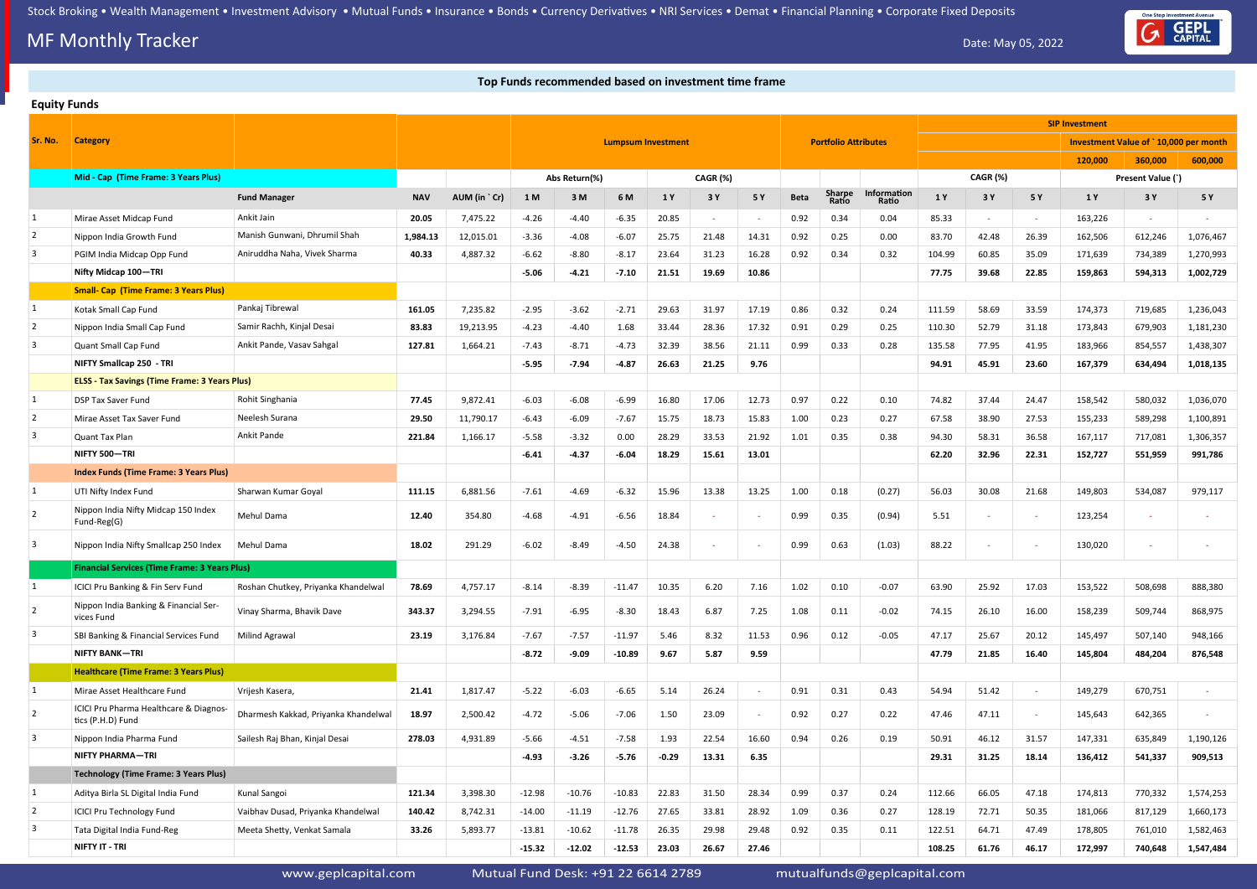## **MF Monthly Tracker** Date: May 05, 2022

### **Top Funds recommended based on investment time frame**

www.geplcapital.com Mutual Fund Desk: +91 22 6614 2789 mutualfunds@geplcapital.com



|                | <b>Equity Funds</b>                                         |                                      |            |              |          |               |                           |         |          |       |             |                             |                      |        |          |        |                       |                                       |           |
|----------------|-------------------------------------------------------------|--------------------------------------|------------|--------------|----------|---------------|---------------------------|---------|----------|-------|-------------|-----------------------------|----------------------|--------|----------|--------|-----------------------|---------------------------------------|-----------|
|                |                                                             |                                      |            |              |          |               |                           |         |          |       |             |                             |                      |        |          |        | <b>SIP Investment</b> |                                       |           |
| Sr. No.        | <b>Category</b>                                             |                                      |            |              |          |               | <b>Lumpsum Investment</b> |         |          |       |             | <b>Portfolio Attributes</b> |                      |        |          |        |                       | Investment Value of `10,000 per month |           |
|                |                                                             |                                      |            |              |          |               |                           |         |          |       |             |                             |                      |        |          |        | 120,000               | 360,000                               | 600,000   |
|                | Mid - Cap (Time Frame: 3 Years Plus)                        |                                      |            |              |          | Abs Return(%) |                           |         | CAGR (%) |       |             |                             |                      |        | CAGR (%) |        |                       | Present Value (`)                     |           |
|                |                                                             | <b>Fund Manager</b>                  | <b>NAV</b> | AUM (in `Cr) | 1 M      | 3 M           | 6 M                       | 1Y      | 3 Y      | 5 Y   | <b>Beta</b> | Sharpe<br>Ratio             | Information<br>Ratio | 1 Y    | 3 Y      | 5 Y    | 1 Y                   | 3 Y                                   | 5 Y       |
| 1              | Mirae Asset Midcap Fund                                     | Ankit Jain                           | 20.05      | 7,475.22     | $-4.26$  | $-4.40$       | $-6.35$                   | 20.85   |          |       | 0.92        | 0.34                        | 0.04                 | 85.33  | $\sim$   | $\sim$ | 163,226               | $\sim$                                |           |
| $\overline{2}$ | Nippon India Growth Fund                                    | Manish Gunwani, Dhrumil Shah         | 1,984.13   | 12,015.01    | $-3.36$  | $-4.08$       | $-6.07$                   | 25.75   | 21.48    | 14.31 | 0.92        | 0.25                        | 0.00                 | 83.70  | 42.48    | 26.39  | 162,506               | 612,246                               | 1,076,467 |
| 3              | PGIM India Midcap Opp Fund                                  | Aniruddha Naha, Vivek Sharma         | 40.33      | 4,887.32     | $-6.62$  | $-8.80$       | $-8.17$                   | 23.64   | 31.23    | 16.28 | 0.92        | 0.34                        | 0.32                 | 104.99 | 60.85    | 35.09  | 171,639               | 734,389                               | 1,270,993 |
|                | Nifty Midcap 100-TRI                                        |                                      |            |              | $-5.06$  | $-4.21$       | $-7.10$                   | 21.51   | 19.69    | 10.86 |             |                             |                      | 77.75  | 39.68    | 22.85  | 159,863               | 594,313                               | 1,002,729 |
|                | <b>Small- Cap (Time Frame: 3 Years Plus)</b>                |                                      |            |              |          |               |                           |         |          |       |             |                             |                      |        |          |        |                       |                                       |           |
| 1              | Kotak Small Cap Fund                                        | Pankaj Tibrewal                      | 161.05     | 7,235.82     | $-2.95$  | $-3.62$       | $-2.71$                   | 29.63   | 31.97    | 17.19 | 0.86        | 0.32                        | 0.24                 | 111.59 | 58.69    | 33.59  | 174,373               | 719,685                               | 1,236,043 |
| $\overline{2}$ | Nippon India Small Cap Fund                                 | Samir Rachh, Kinjal Desai            | 83.83      | 19,213.95    | $-4.23$  | $-4.40$       | 1.68                      | 33.44   | 28.36    | 17.32 | 0.91        | 0.29                        | 0.25                 | 110.30 | 52.79    | 31.18  | 173,843               | 679,903                               | 1,181,230 |
| 3              | Quant Small Cap Fund                                        | Ankit Pande, Vasav Sahgal            | 127.81     | 1,664.21     | $-7.43$  | $-8.71$       | $-4.73$                   | 32.39   | 38.56    | 21.11 | 0.99        | 0.33                        | 0.28                 | 135.58 | 77.95    | 41.95  | 183,966               | 854,557                               | 1,438,307 |
|                | NIFTY Smallcap 250 - TRI                                    |                                      |            |              | $-5.95$  | $-7.94$       | $-4.87$                   | 26.63   | 21.25    | 9.76  |             |                             |                      | 94.91  | 45.91    | 23.60  | 167,379               | 634,494                               | 1,018,135 |
|                | ELSS - Tax Savings (Time Frame: 3 Years Plus)               |                                      |            |              |          |               |                           |         |          |       |             |                             |                      |        |          |        |                       |                                       |           |
| $\mathbf{1}$   | DSP Tax Saver Fund                                          | Rohit Singhania                      | 77.45      | 9,872.41     | $-6.03$  | $-6.08$       | $-6.99$                   | 16.80   | 17.06    | 12.73 | 0.97        | 0.22                        | 0.10                 | 74.82  | 37.44    | 24.47  | 158,542               | 580,032                               | 1,036,070 |
| $\overline{2}$ | Mirae Asset Tax Saver Fund                                  | Neelesh Surana                       | 29.50      | 11,790.17    | $-6.43$  | $-6.09$       | $-7.67$                   | 15.75   | 18.73    | 15.83 | 1.00        | 0.23                        | 0.27                 | 67.58  | 38.90    | 27.53  | 155,233               | 589,298                               | 1,100,891 |
| 3              | Quant Tax Plan                                              | Ankit Pande                          | 221.84     | 1,166.17     | $-5.58$  | $-3.32$       | 0.00                      | 28.29   | 33.53    | 21.92 | 1.01        | 0.35                        | 0.38                 | 94.30  | 58.31    | 36.58  | 167,117               | 717,081                               | 1,306,357 |
|                | NIFTY 500-TRI                                               |                                      |            |              | $-6.41$  | $-4.37$       | $-6.04$                   | 18.29   | 15.61    | 13.01 |             |                             |                      | 62.20  | 32.96    | 22.31  | 152,727               | 551,959                               | 991,786   |
|                | <b>Index Funds (Time Frame: 3 Years Plus)</b>               |                                      |            |              |          |               |                           |         |          |       |             |                             |                      |        |          |        |                       |                                       |           |
| 1              | UTI Nifty Index Fund                                        | Sharwan Kumar Goyal                  | 111.15     | 6,881.56     | $-7.61$  | $-4.69$       | $-6.32$                   | 15.96   | 13.38    | 13.25 | 1.00        | 0.18                        | (0.27)               | 56.03  | 30.08    | 21.68  | 149,803               | 534,087                               | 979,117   |
| $\overline{2}$ | Nippon India Nifty Midcap 150 Index<br>Fund-Reg(G)          | Mehul Dama                           | 12.40      | 354.80       | $-4.68$  | $-4.91$       | $-6.56$                   | 18.84   | $\sim$   |       | 0.99        | 0.35                        | (0.94)               | 5.51   | $\sim$   | $\sim$ | 123,254               |                                       |           |
| 3              | Nippon India Nifty Smallcap 250 Index                       | Mehul Dama                           | 18.02      | 291.29       | $-6.02$  | $-8.49$       | $-4.50$                   | 24.38   |          |       | 0.99        | 0.63                        | (1.03)               | 88.22  |          | $\sim$ | 130,020               |                                       |           |
|                | <b>Financial Services (Time Frame: 3 Years Plus)</b>        |                                      |            |              |          |               |                           |         |          |       |             |                             |                      |        |          |        |                       |                                       |           |
| 1              | ICICI Pru Banking & Fin Serv Fund                           | Roshan Chutkey, Priyanka Khandelwal  | 78.69      | 4,757.17     | $-8.14$  | $-8.39$       | $-11.47$                  | 10.35   | 6.20     | 7.16  | 1.02        | 0.10                        | $-0.07$              | 63.90  | 25.92    | 17.03  | 153,522               | 508,698                               | 888,380   |
| $\overline{2}$ | Nippon India Banking & Financial Ser-<br>vices Fund         | Vinay Sharma, Bhavik Dave            | 343.37     | 3,294.55     | $-7.91$  | $-6.95$       | $-8.30$                   | 18.43   | 6.87     | 7.25  | 1.08        | 0.11                        | $-0.02$              | 74.15  | 26.10    | 16.00  | 158,239               | 509,744                               | 868,975   |
| 3              | SBI Banking & Financial Services Fund                       | <b>Milind Agrawal</b>                | 23.19      | 3,176.84     | $-7.67$  | $-7.57$       | $-11.97$                  | 5.46    | 8.32     | 11.53 | 0.96        | 0.12                        | $-0.05$              | 47.17  | 25.67    | 20.12  | 145,497               | 507,140                               | 948,166   |
|                | <b>NIFTY BANK-TRI</b>                                       |                                      |            |              | $-8.72$  | $-9.09$       | $-10.89$                  | 9.67    | 5.87     | 9.59  |             |                             |                      | 47.79  | 21.85    | 16.40  | 145,804               | 484,204                               | 876,548   |
|                | <b>Healthcare (Time Frame: 3 Years Plus)</b>                |                                      |            |              |          |               |                           |         |          |       |             |                             |                      |        |          |        |                       |                                       |           |
| 1              | Mirae Asset Healthcare Fund                                 | Vrijesh Kasera,                      | 21.41      | 1,817.47     | $-5.22$  | $-6.03$       | $-6.65$                   | 5.14    | 26.24    |       | 0.91        | 0.31                        | 0.43                 | 54.94  | 51.42    | $\sim$ | 149,279               | 670,751                               |           |
| $\overline{2}$ | ICICI Pru Pharma Healthcare & Diagnos-<br>tics (P.H.D) Fund | Dharmesh Kakkad, Priyanka Khandelwal | 18.97      | 2,500.42     | $-4.72$  | $-5.06$       | $-7.06$                   | 1.50    | 23.09    |       | 0.92        | 0.27                        | 0.22                 | 47.46  | 47.11    | $\sim$ | 145,643               | 642,365                               |           |
| 3              | Nippon India Pharma Fund                                    | Sailesh Raj Bhan, Kinjal Desai       | 278.03     | 4,931.89     | $-5.66$  | $-4.51$       | $-7.58$                   | 1.93    | 22.54    | 16.60 | 0.94        | 0.26                        | 0.19                 | 50.91  | 46.12    | 31.57  | 147,331               | 635,849                               | 1,190,126 |
|                | <b>NIFTY PHARMA-TRI</b>                                     |                                      |            |              | $-4.93$  | $-3.26$       | $-5.76$                   | $-0.29$ | 13.31    | 6.35  |             |                             |                      | 29.31  | 31.25    | 18.14  | 136,412               | 541,337                               | 909,513   |
|                | <b>Technology (Time Frame: 3 Years Plus)</b>                |                                      |            |              |          |               |                           |         |          |       |             |                             |                      |        |          |        |                       |                                       |           |
| 1              | Aditya Birla SL Digital India Fund                          | Kunal Sangoi                         | 121.34     | 3,398.30     | $-12.98$ | $-10.76$      | $-10.83$                  | 22.83   | 31.50    | 28.34 | 0.99        | 0.37                        | 0.24                 | 112.66 | 66.05    | 47.18  | 174,813               | 770,332                               | 1,574,253 |
| $\overline{2}$ | <b>ICICI Pru Technology Fund</b>                            | Vaibhav Dusad, Priyanka Khandelwal   | 140.42     | 8,742.31     | $-14.00$ | $-11.19$      | $-12.76$                  | 27.65   | 33.81    | 28.92 | 1.09        | 0.36                        | 0.27                 | 128.19 | 72.71    | 50.35  | 181,066               | 817,129                               | 1,660,173 |
| 3              | Tata Digital India Fund-Reg                                 | Meeta Shetty, Venkat Samala          | 33.26      | 5,893.77     | $-13.81$ | $-10.62$      | $-11.78$                  | 26.35   | 29.98    | 29.48 | 0.92        | 0.35                        | 0.11                 | 122.51 | 64.71    | 47.49  | 178,805               | 761,010                               | 1,582,463 |
|                | NIFTY IT - TRI                                              |                                      |            |              | $-15.32$ | $-12.02$      | $-12.53$                  | 23.03   | 26.67    | 27.46 |             |                             |                      | 108.25 | 61.76    | 46.17  | 172,997               | 740,648                               | 1,547,484 |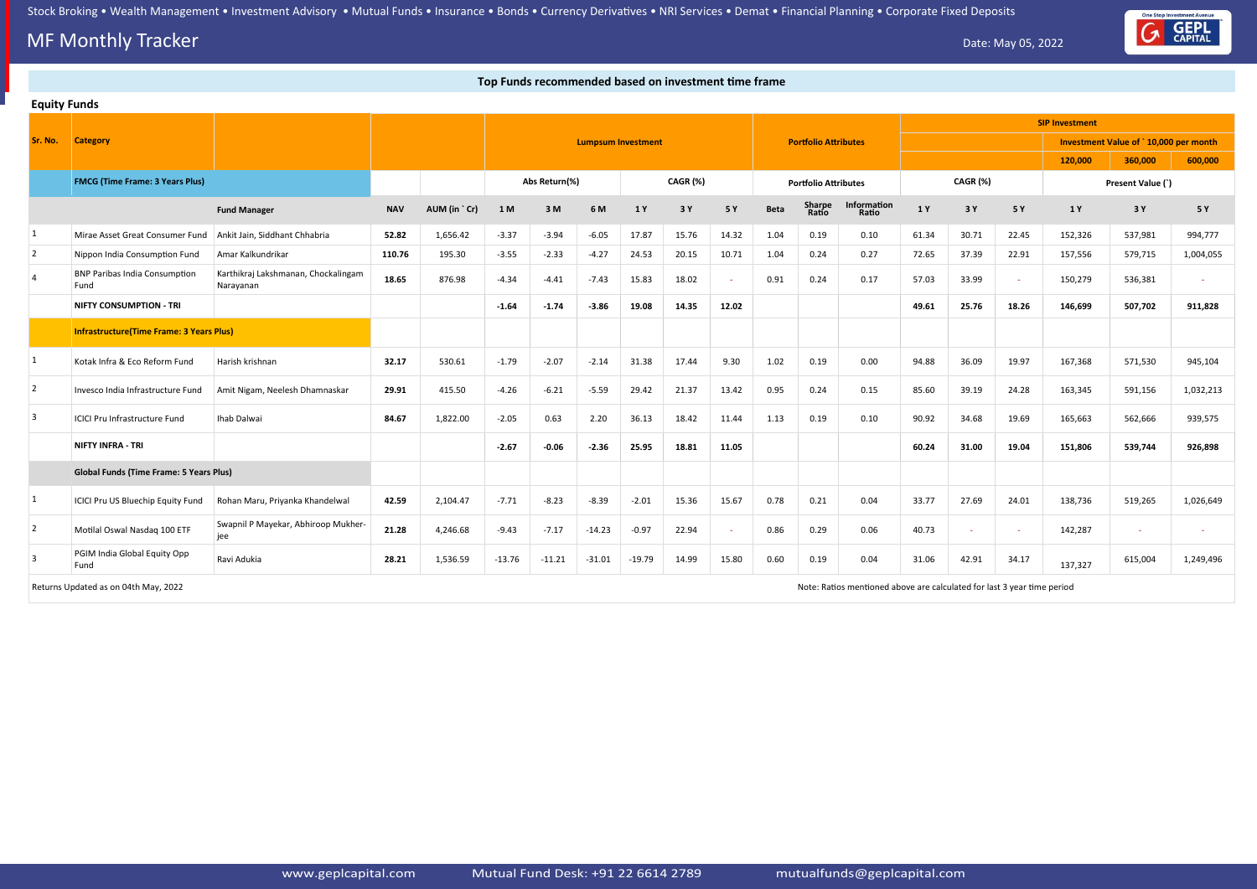# **MF Monthly Tracker** Date: May 05, 2022



|                | Top Funds recommended based on investment time frame |                                                  |            |              |          |               |          |                           |          |        |             |                             |                                                                         |       |          |        |                       |                                       |           |
|----------------|------------------------------------------------------|--------------------------------------------------|------------|--------------|----------|---------------|----------|---------------------------|----------|--------|-------------|-----------------------------|-------------------------------------------------------------------------|-------|----------|--------|-----------------------|---------------------------------------|-----------|
|                | <b>Equity Funds</b>                                  |                                                  |            |              |          |               |          |                           |          |        |             |                             |                                                                         |       |          |        |                       |                                       |           |
|                |                                                      |                                                  |            |              |          |               |          |                           |          |        |             |                             |                                                                         |       |          |        | <b>SIP Investment</b> |                                       |           |
| Sr. No.        | <b>Category</b>                                      |                                                  |            |              |          |               |          | <b>Lumpsum Investment</b> |          |        |             | <b>Portfolio Attributes</b> |                                                                         |       |          |        |                       | Investment Value of `10,000 per month |           |
|                |                                                      |                                                  |            |              |          |               |          |                           |          |        |             |                             |                                                                         |       |          |        | 120,000               | 360,000                               | 600,000   |
|                | <b>FMCG (Time Frame: 3 Years Plus)</b>               |                                                  |            |              |          | Abs Return(%) |          |                           | CAGR (%) |        |             | <b>Portfolio Attributes</b> |                                                                         |       | CAGR (%) |        |                       | Present Value (`)                     |           |
|                |                                                      | <b>Fund Manager</b>                              | <b>NAV</b> | AUM (in `Cr) | 1 M      | 3M            | 6 M      | 1 Y                       | 3 Y      | 5 Y    | <b>Beta</b> | <b>Sharpe</b><br>Ratio      | Information<br>Ratio                                                    | 1 Y   | 3 Y      | 5 Y    | 1 Y                   | 3 Y                                   | 5 Y       |
| 1              | Mirae Asset Great Consumer Fund                      | Ankit Jain, Siddhant Chhabria                    | 52.82      | 1,656.42     | $-3.37$  | $-3.94$       | $-6.05$  | 17.87                     | 15.76    | 14.32  | 1.04        | 0.19                        | 0.10                                                                    | 61.34 | 30.71    | 22.45  | 152,326               | 537,981                               | 994,777   |
| $\overline{2}$ | Nippon India Consumption Fund                        | Amar Kalkundrikar                                | 110.76     | 195.30       | $-3.55$  | $-2.33$       | $-4.27$  | 24.53                     | 20.15    | 10.71  | 1.04        | 0.24                        | 0.27                                                                    | 72.65 | 37.39    | 22.91  | 157,556               | 579,715                               | 1,004,055 |
| $\overline{4}$ | <b>BNP Paribas India Consumption</b><br>Fund         | Karthikraj Lakshmanan, Chockalingam<br>Narayanan | 18.65      | 876.98       | $-4.34$  | $-4.41$       | $-7.43$  | 15.83                     | 18.02    | $\sim$ | 0.91        | 0.24                        | 0.17                                                                    | 57.03 | 33.99    | $\sim$ | 150,279               | 536,381                               |           |
|                | <b>NIFTY CONSUMPTION - TRI</b>                       |                                                  |            |              | $-1.64$  | $-1.74$       | $-3.86$  | 19.08                     | 14.35    | 12.02  |             |                             |                                                                         | 49.61 | 25.76    | 18.26  | 146,699               | 507,702                               | 911,828   |
|                | <b>Infrastructure(Time Frame: 3 Years Plus)</b>      |                                                  |            |              |          |               |          |                           |          |        |             |                             |                                                                         |       |          |        |                       |                                       |           |
| 1              | Kotak Infra & Eco Reform Fund                        | Harish krishnan                                  | 32.17      | 530.61       | $-1.79$  | $-2.07$       | $-2.14$  | 31.38                     | 17.44    | 9.30   | 1.02        | 0.19                        | 0.00                                                                    | 94.88 | 36.09    | 19.97  | 167,368               | 571,530                               | 945,104   |
| 2              | Invesco India Infrastructure Fund                    | Amit Nigam, Neelesh Dhamnaskar                   | 29.91      | 415.50       | $-4.26$  | $-6.21$       | $-5.59$  | 29.42                     | 21.37    | 13.42  | 0.95        | 0.24                        | 0.15                                                                    | 85.60 | 39.19    | 24.28  | 163,345               | 591,156                               | 1,032,213 |
| 3              | <b>ICICI Pru Infrastructure Fund</b>                 | Ihab Dalwai                                      | 84.67      | 1,822.00     | $-2.05$  | 0.63          | 2.20     | 36.13                     | 18.42    | 11.44  | 1.13        | 0.19                        | 0.10                                                                    | 90.92 | 34.68    | 19.69  | 165,663               | 562,666                               | 939,575   |
|                | <b>NIFTY INFRA - TRI</b>                             |                                                  |            |              | $-2.67$  | $-0.06$       | $-2.36$  | 25.95                     | 18.81    | 11.05  |             |                             |                                                                         | 60.24 | 31.00    | 19.04  | 151,806               | 539,744                               | 926,898   |
|                | <b>Global Funds (Time Frame: 5 Years Plus)</b>       |                                                  |            |              |          |               |          |                           |          |        |             |                             |                                                                         |       |          |        |                       |                                       |           |
| $\mathbf{1}$   | ICICI Pru US Bluechip Equity Fund                    | Rohan Maru, Priyanka Khandelwal                  | 42.59      | 2,104.47     | $-7.71$  | $-8.23$       | $-8.39$  | $-2.01$                   | 15.36    | 15.67  | 0.78        | 0.21                        | 0.04                                                                    | 33.77 | 27.69    | 24.01  | 138,736               | 519,265                               | 1,026,649 |
| 2              | Motilal Oswal Nasdaq 100 ETF                         | Swapnil P Mayekar, Abhiroop Mukher-<br>jee       | 21.28      | 4,246.68     | $-9.43$  | $-7.17$       | $-14.23$ | $-0.97$                   | 22.94    | $\sim$ | 0.86        | 0.29                        | 0.06                                                                    | 40.73 | $\sim$   | $\sim$ | 142,287               | $\sim$                                |           |
| $\overline{3}$ | PGIM India Global Equity Opp<br>Fund                 | Ravi Adukia                                      | 28.21      | 1,536.59     | $-13.76$ | $-11.21$      | $-31.01$ | $-19.79$                  | 14.99    | 15.80  | 0.60        | 0.19                        | 0.04                                                                    | 31.06 | 42.91    | 34.17  | 137,327               | 615,004                               | 1,249,496 |
|                | Returns Updated as on 04th May, 2022                 |                                                  |            |              |          |               |          |                           |          |        |             |                             | Note: Ratios mentioned above are calculated for last 3 year time period |       |          |        |                       |                                       |           |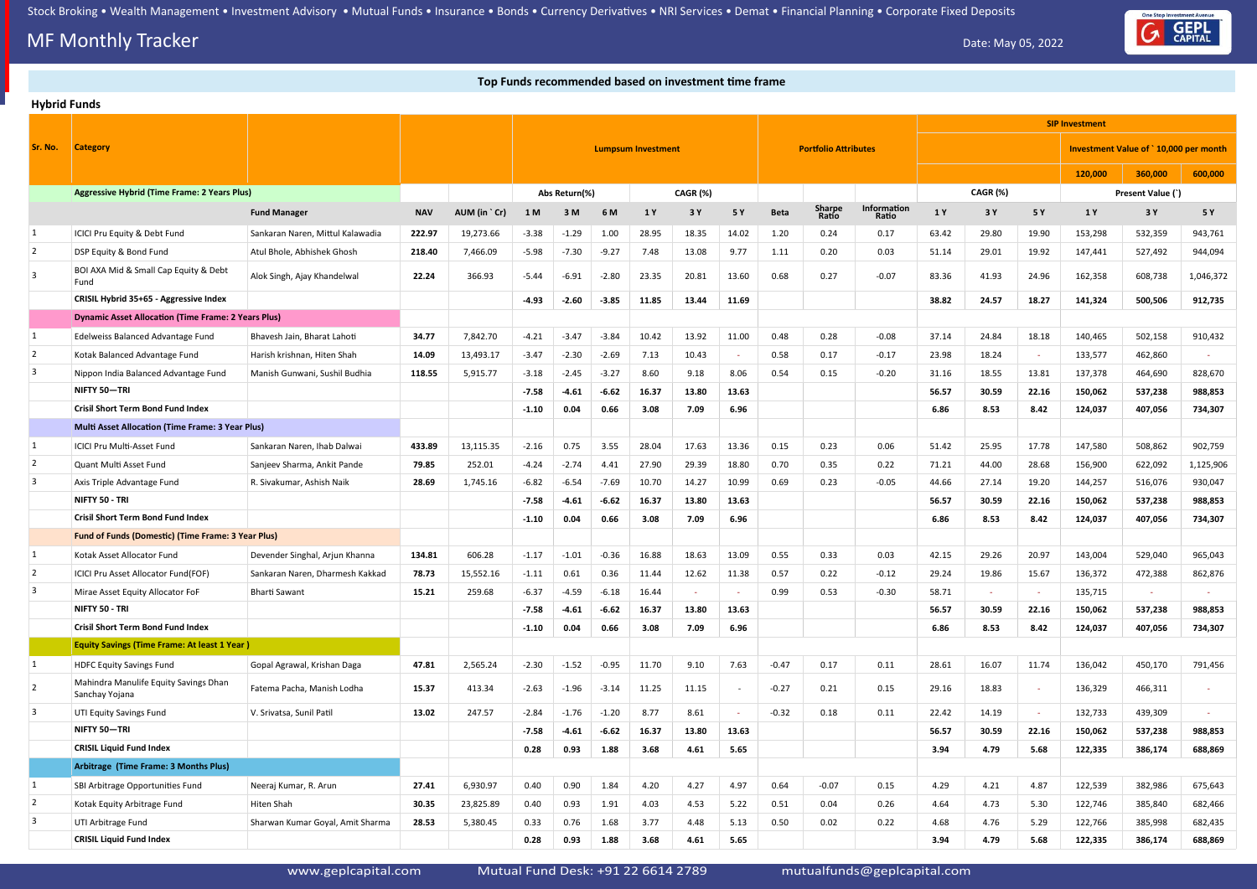# **MF Monthly Tracker** Date: May 05, 2022

### **Top Funds recommended based on investment time frame**

### **Hybrid Funds**

|                         |                                                            |                                  |            |              |                           |               |         |       |          |       |             |                             |                             |       |          |        | <b>SIP Investment</b> |                                       |           |
|-------------------------|------------------------------------------------------------|----------------------------------|------------|--------------|---------------------------|---------------|---------|-------|----------|-------|-------------|-----------------------------|-----------------------------|-------|----------|--------|-----------------------|---------------------------------------|-----------|
| Sr. No.                 | <b>Category</b>                                            |                                  |            |              | <b>Lumpsum Investment</b> |               |         |       |          |       |             | <b>Portfolio Attributes</b> |                             |       |          |        |                       | Investment Value of `10,000 per month |           |
|                         |                                                            |                                  |            |              |                           |               |         |       |          |       |             |                             |                             |       |          |        | 120,000               | 360,000                               | 600,000   |
|                         | <b>Aggressive Hybrid (Time Frame: 2 Years Plus)</b>        |                                  |            |              |                           | Abs Return(%) |         |       | CAGR (%) |       |             |                             |                             |       | CAGR (%) |        |                       | Present Value (`)                     |           |
|                         |                                                            | <b>Fund Manager</b>              | <b>NAV</b> | AUM (in `Cr) | 1 M                       | 3 M           | 6 M     | 1 Y   | 3 Y      | 5 Y   | <b>Beta</b> | Sharpe<br>Ratio             | <b>Information</b><br>Ratio | 1 Y   | 3 Y      | 5 Y    | 1 Y                   | 3 Y                                   | 5 Y       |
| 1                       | ICICI Pru Equity & Debt Fund                               | Sankaran Naren, Mittul Kalawadia | 222.97     | 19,273.66    | $-3.38$                   | $-1.29$       | 1.00    | 28.95 | 18.35    | 14.02 | 1.20        | 0.24                        | 0.17                        | 63.42 | 29.80    | 19.90  | 153,298               | 532,359                               | 943,761   |
| 2                       | DSP Equity & Bond Fund                                     | Atul Bhole, Abhishek Ghosh       | 218.40     | 7,466.09     | $-5.98$                   | $-7.30$       | $-9.27$ | 7.48  | 13.08    | 9.77  | 1.11        | 0.20                        | 0.03                        | 51.14 | 29.01    | 19.92  | 147,441               | 527,492                               | 944,094   |
| 3                       | BOI AXA Mid & Small Cap Equity & Debt<br>Fund              | Alok Singh, Ajay Khandelwal      | 22.24      | 366.93       | $-5.44$                   | $-6.91$       | $-2.80$ | 23.35 | 20.81    | 13.60 | 0.68        | 0.27                        | $-0.07$                     | 83.36 | 41.93    | 24.96  | 162,358               | 608,738                               | 1,046,372 |
|                         | CRISIL Hybrid 35+65 - Aggressive Index                     |                                  |            |              | $-4.93$                   | $-2.60$       | $-3.85$ | 11.85 | 13.44    | 11.69 |             |                             |                             | 38.82 | 24.57    | 18.27  | 141,324               | 500,506                               | 912,735   |
|                         | <b>Dynamic Asset Allocation (Time Frame: 2 Years Plus)</b> |                                  |            |              |                           |               |         |       |          |       |             |                             |                             |       |          |        |                       |                                       |           |
| 1                       | Edelweiss Balanced Advantage Fund                          | Bhavesh Jain, Bharat Lahoti      | 34.77      | 7,842.70     | $-4.21$                   | $-3.47$       | $-3.84$ | 10.42 | 13.92    | 11.00 | 0.48        | 0.28                        | $-0.08$                     | 37.14 | 24.84    | 18.18  | 140,465               | 502,158                               | 910,432   |
| $\sqrt{2}$              | Kotak Balanced Advantage Fund                              | Harish krishnan, Hiten Shah      | 14.09      | 13,493.17    | $-3.47$                   | $-2.30$       | $-2.69$ | 7.13  | 10.43    |       | 0.58        | 0.17                        | $-0.17$                     | 23.98 | 18.24    | $\sim$ | 133,577               | 462,860                               |           |
| 3                       | Nippon India Balanced Advantage Fund                       | Manish Gunwani, Sushil Budhia    | 118.55     | 5,915.77     | $-3.18$                   | $-2.45$       | $-3.27$ | 8.60  | 9.18     | 8.06  | 0.54        | 0.15                        | $-0.20$                     | 31.16 | 18.55    | 13.81  | 137,378               | 464,690                               | 828,670   |
|                         | NIFTY 50-TRI                                               |                                  |            |              | $-7.58$                   | $-4.61$       | $-6.62$ | 16.37 | 13.80    | 13.63 |             |                             |                             | 56.57 | 30.59    | 22.16  | 150,062               | 537,238                               | 988,853   |
|                         | <b>Crisil Short Term Bond Fund Index</b>                   |                                  |            |              | $-1.10$                   | 0.04          | 0.66    | 3.08  | 7.09     | 6.96  |             |                             |                             | 6.86  | 8.53     | 8.42   | 124,037               | 407,056                               | 734,307   |
|                         | <b>Multi Asset Allocation (Time Frame: 3 Year Plus)</b>    |                                  |            |              |                           |               |         |       |          |       |             |                             |                             |       |          |        |                       |                                       |           |
| 1                       | ICICI Pru Multi-Asset Fund                                 | Sankaran Naren, Ihab Dalwai      | 433.89     | 13,115.35    | $-2.16$                   | 0.75          | 3.55    | 28.04 | 17.63    | 13.36 | 0.15        | 0.23                        | 0.06                        | 51.42 | 25.95    | 17.78  | 147,580               | 508,862                               | 902,759   |
| 2                       | Quant Multi Asset Fund                                     | Sanjeev Sharma, Ankit Pande      | 79.85      | 252.01       | $-4.24$                   | $-2.74$       | 4.41    | 27.90 | 29.39    | 18.80 | 0.70        | 0.35                        | 0.22                        | 71.21 | 44.00    | 28.68  | 156,900               | 622,092                               | 1,125,906 |
| 3                       | Axis Triple Advantage Fund                                 | R. Sivakumar, Ashish Naik        | 28.69      | 1,745.16     | $-6.82$                   | $-6.54$       | $-7.69$ | 10.70 | 14.27    | 10.99 | 0.69        | 0.23                        | $-0.05$                     | 44.66 | 27.14    | 19.20  | 144,257               | 516,076                               | 930,047   |
|                         | NIFTY 50 - TRI                                             |                                  |            |              | $-7.58$                   | $-4.61$       | $-6.62$ | 16.37 | 13.80    | 13.63 |             |                             |                             | 56.57 | 30.59    | 22.16  | 150,062               | 537,238                               | 988,853   |
|                         | <b>Crisil Short Term Bond Fund Index</b>                   |                                  |            |              | $-1.10$                   | 0.04          | 0.66    | 3.08  | 7.09     | 6.96  |             |                             |                             | 6.86  | 8.53     | 8.42   | 124,037               | 407,056                               | 734,307   |
|                         | Fund of Funds (Domestic) (Time Frame: 3 Year Plus)         |                                  |            |              |                           |               |         |       |          |       |             |                             |                             |       |          |        |                       |                                       |           |
| 1                       | Kotak Asset Allocator Fund                                 | Devender Singhal, Arjun Khanna   | 134.81     | 606.28       | $-1.17$                   | $-1.01$       | $-0.36$ | 16.88 | 18.63    | 13.09 | 0.55        | 0.33                        | 0.03                        | 42.15 | 29.26    | 20.97  | 143,004               | 529,040                               | 965,043   |
| 2                       | ICICI Pru Asset Allocator Fund(FOF)                        | Sankaran Naren, Dharmesh Kakkad  | 78.73      | 15,552.16    | $-1.11$                   | 0.61          | 0.36    | 11.44 | 12.62    | 11.38 | 0.57        | 0.22                        | $-0.12$                     | 29.24 | 19.86    | 15.67  | 136,372               | 472,388                               | 862,876   |
|                         | Mirae Asset Equity Allocator FoF                           | <b>Bharti Sawant</b>             | 15.21      | 259.68       | $-6.37$                   | -4.59         | $-6.18$ | 16.44 |          |       | 0.99        | 0.53                        | $-0.30$                     | 58.71 |          |        | 135,715               |                                       |           |
|                         | NIFTY 50 - TRI                                             |                                  |            |              | $-7.58$                   | $-4.61$       | $-6.62$ | 16.37 | 13.80    | 13.63 |             |                             |                             | 56.57 | 30.59    | 22.16  | 150,062               | 537,238                               | 988,853   |
|                         | <b>Crisil Short Term Bond Fund Index</b>                   |                                  |            |              | $-1.10$                   | 0.04          | 0.66    | 3.08  | 7.09     | 6.96  |             |                             |                             | 6.86  | 8.53     | 8.42   | 124,037               | 407,056                               | 734,307   |
|                         | <b>Equity Savings (Time Frame: At least 1 Year)</b>        |                                  |            |              |                           |               |         |       |          |       |             |                             |                             |       |          |        |                       |                                       |           |
| 1                       | <b>HDFC Equity Savings Fund</b>                            | Gopal Agrawal, Krishan Daga      | 47.81      | 2,565.24     | $-2.30$                   | $-1.52$       | $-0.95$ | 11.70 | 9.10     | 7.63  | $-0.47$     | 0.17                        | 0.11                        | 28.61 | 16.07    | 11.74  | 136,042               | 450,170                               | 791,456   |
| 2                       | Mahindra Manulife Equity Savings Dhan<br>Sanchay Yojana    | Fatema Pacha, Manish Lodha       | 15.37      | 413.34       | $-2.63$                   | $-1.96$       | $-3.14$ | 11.25 | 11.15    |       | $-0.27$     | 0.21                        | 0.15                        | 29.16 | 18.83    | $\sim$ | 136,329               | 466,311                               |           |
| $\overline{\mathbf{3}}$ | UTI Equity Savings Fund                                    | V. Srivatsa, Sunil Patil         | 13.02      | 247.57       | $-2.84$                   | $-1.76$       | $-1.20$ | 8.77  | 8.61     |       | $-0.32$     | 0.18                        | 0.11                        | 22.42 | 14.19    | $\sim$ | 132,733               | 439,309                               |           |
|                         | NIFTY 50-TRI                                               |                                  |            |              | $-7.58$                   | $-4.61$       | $-6.62$ | 16.37 | 13.80    | 13.63 |             |                             |                             | 56.57 | 30.59    | 22.16  | 150,062               | 537,238                               | 988,853   |
|                         | <b>CRISIL Liquid Fund Index</b>                            |                                  |            |              | 0.28                      | 0.93          | 1.88    | 3.68  | 4.61     | 5.65  |             |                             |                             | 3.94  | 4.79     | 5.68   | 122,335               | 386,174                               | 688,869   |
|                         | Arbitrage (Time Frame: 3 Months Plus)                      |                                  |            |              |                           |               |         |       |          |       |             |                             |                             |       |          |        |                       |                                       |           |
| $\mathbf{1}$            | SBI Arbitrage Opportunities Fund                           | Neeraj Kumar, R. Arun            | 27.41      | 6,930.97     | 0.40                      | 0.90          | 1.84    | 4.20  | 4.27     | 4.97  | 0.64        | $-0.07$                     | 0.15                        | 4.29  | 4.21     | 4.87   | 122,539               | 382,986                               | 675,643   |
| $\sqrt{2}$              | Kotak Equity Arbitrage Fund                                | Hiten Shah                       | 30.35      | 23,825.89    | 0.40                      | 0.93          | 1.91    | 4.03  | 4.53     | 5.22  | 0.51        | 0.04                        | 0.26                        | 4.64  | 4.73     | 5.30   | 122,746               | 385,840                               | 682,466   |
| 3                       | UTI Arbitrage Fund                                         | Sharwan Kumar Goyal, Amit Sharma | 28.53      | 5,380.45     | 0.33                      | 0.76          | 1.68    | 3.77  | 4.48     | 5.13  | 0.50        | 0.02                        | 0.22                        | 4.68  | 4.76     | 5.29   | 122,766               | 385,998                               | 682,435   |
|                         | <b>CRISIL Liquid Fund Index</b>                            |                                  |            |              | 0.28                      | 0.93          | 1.88    | 3.68  | 4.61     | 5.65  |             |                             |                             | 3.94  | 4.79     | 5.68   | 122,335               | 386,174                               | 688,869   |

www.geplcapital.com Mutual Fund Desk: +91 22 6614 2789 mutualfunds@geplcapital.com

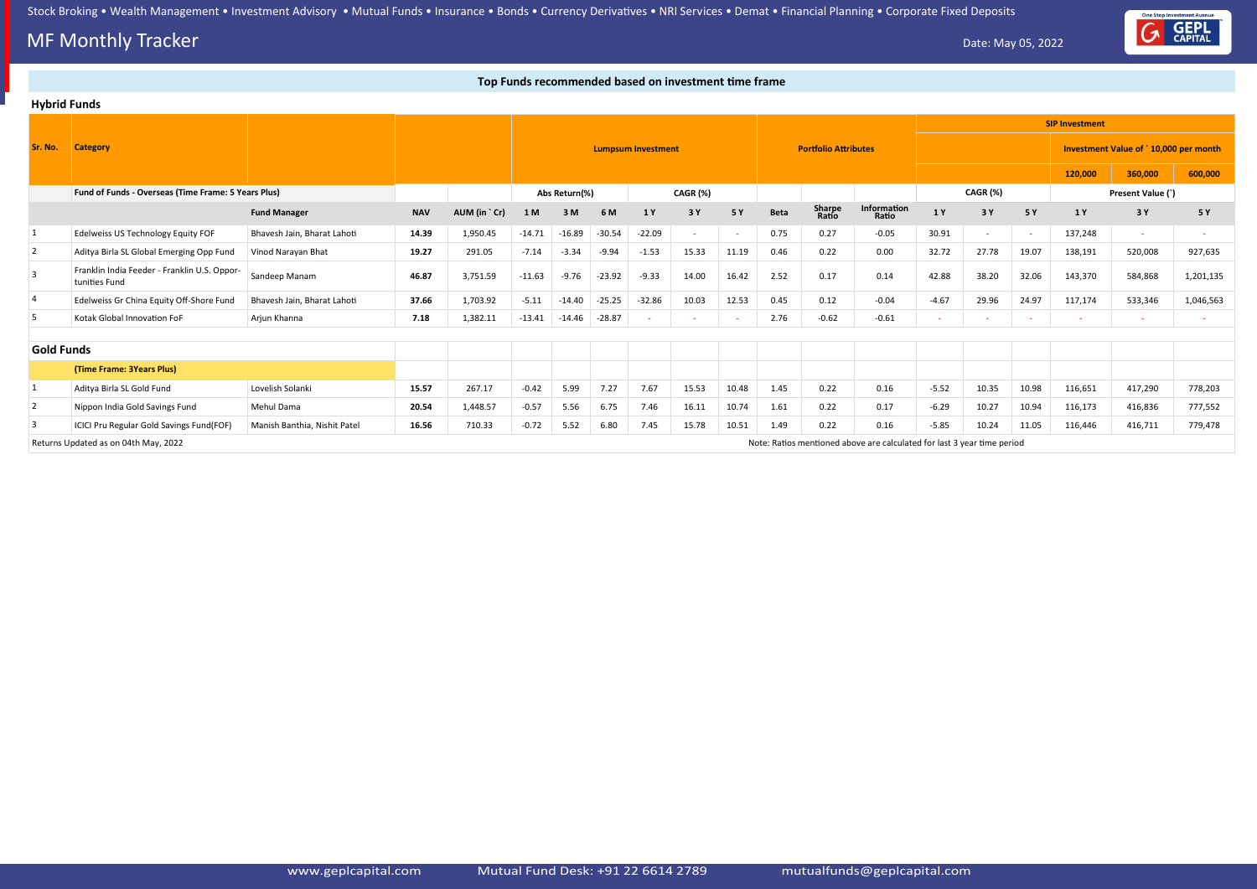# **MF Monthly Tracker** Date: May 05, 2022

## **Top Funds recommended based on investment time frame**

|                   | <b>Hybrid Funds</b>                                           |                              |            |              |          |               |          |                           |          |       |             |                             |                                                                         |         |          |       |                       |                                       |           |
|-------------------|---------------------------------------------------------------|------------------------------|------------|--------------|----------|---------------|----------|---------------------------|----------|-------|-------------|-----------------------------|-------------------------------------------------------------------------|---------|----------|-------|-----------------------|---------------------------------------|-----------|
|                   |                                                               |                              |            |              |          |               |          |                           |          |       |             |                             |                                                                         |         |          |       | <b>SIP Investment</b> |                                       |           |
| Sr. No.           | <b>Category</b>                                               |                              |            |              |          |               |          | <b>Lumpsum Investment</b> |          |       |             | <b>Portfolio Attributes</b> |                                                                         |         |          |       |                       | Investment Value of `10,000 per month |           |
|                   |                                                               |                              |            |              |          |               |          |                           |          |       |             |                             |                                                                         |         |          |       | 120,000               | 360,000                               | 600,000   |
|                   | Fund of Funds - Overseas (Time Frame: 5 Years Plus)           |                              |            |              |          | Abs Return(%) |          |                           | CAGR (%) |       |             |                             |                                                                         |         | CAGR (%) |       |                       | Present Value (`)                     |           |
|                   |                                                               | <b>Fund Manager</b>          | <b>NAV</b> | AUM (in `Cr) | 1 M      | 3M            | 6 M      | 1 Y                       | 3 Y      | 5 Y   | <b>Beta</b> | Sharpe<br>Ratio             | Information<br>Ratio                                                    | 1 Y     | 3 Y      | 5 Y   | 1 Y                   | 3 Y                                   | 5 Y       |
| 1                 | Edelweiss US Technology Equity FOF                            | Bhavesh Jain, Bharat Lahoti  | 14.39      | 1,950.45     | $-14.71$ | $-16.89$      | $-30.54$ | $-22.09$                  | $\sim$   |       | 0.75        | 0.27                        | $-0.05$                                                                 | 30.91   | ۰        |       | 137,248               | $\sim$                                |           |
| $\overline{2}$    | Aditya Birla SL Global Emerging Opp Fund                      | Vinod Narayan Bhat           | 19.27      | 291.05       | $-7.14$  | $-3.34$       | $-9.94$  | $-1.53$                   | 15.33    | 11.19 | 0.46        | 0.22                        | 0.00                                                                    | 32.72   | 27.78    | 19.07 | 138,191               | 520,008                               | 927,635   |
| $\overline{3}$    | Franklin India Feeder - Franklin U.S. Oppor-<br>tunities Fund | Sandeep Manam                | 46.87      | 3,751.59     | $-11.63$ | $-9.76$       | $-23.92$ | $-9.33$                   | 14.00    | 16.42 | 2.52        | 0.17                        | 0.14                                                                    | 42.88   | 38.20    | 32.06 | 143,370               | 584,868                               | 1,201,135 |
| 4                 | Edelweiss Gr China Equity Off-Shore Fund                      | Bhavesh Jain, Bharat Lahoti  | 37.66      | 1,703.92     | $-5.11$  | $-14.40$      | $-25.25$ | $-32.86$                  | 10.03    | 12.53 | 0.45        | 0.12                        | $-0.04$                                                                 | $-4.67$ | 29.96    | 24.97 | 117,174               | 533,346                               | 1,046,563 |
| 5                 | Kotak Global Innovation FoF                                   | Arjun Khanna                 | 7.18       | 1,382.11     | $-13.41$ | -14.46        | -28.87   |                           |          |       | 2.76        | $-0.62$                     | $-0.61$                                                                 | $\sim$  |          |       |                       |                                       |           |
|                   |                                                               |                              |            |              |          |               |          |                           |          |       |             |                             |                                                                         |         |          |       |                       |                                       |           |
| <b>Gold Funds</b> |                                                               |                              |            |              |          |               |          |                           |          |       |             |                             |                                                                         |         |          |       |                       |                                       |           |
|                   | (Time Frame: 3Years Plus)                                     |                              |            |              |          |               |          |                           |          |       |             |                             |                                                                         |         |          |       |                       |                                       |           |
|                   | Aditya Birla SL Gold Fund                                     | Lovelish Solanki             | 15.57      | 267.17       | $-0.42$  | 5.99          | 7.27     | 7.67                      | 15.53    | 10.48 | 1.45        | 0.22                        | 0.16                                                                    | $-5.52$ | 10.35    | 10.98 | 116,651               | 417,290                               | 778,203   |
| $\overline{2}$    | Nippon India Gold Savings Fund                                | Mehul Dama                   | 20.54      | 1,448.57     | $-0.57$  | 5.56          | 6.75     | 7.46                      | 16.11    | 10.74 | 1.61        | 0.22                        | 0.17                                                                    | $-6.29$ | 10.27    | 10.94 | 116,173               | 416,836                               | 777,552   |
| 3                 | ICICI Pru Regular Gold Savings Fund(FOF)                      | Manish Banthia, Nishit Patel | 16.56      | 710.33       | $-0.72$  | 5.52          | 6.80     | 7.45                      | 15.78    | 10.51 | 1.49        | 0.22                        | 0.16                                                                    | $-5.85$ | 10.24    | 11.05 | 116,446               | 416,711                               | 779,478   |
|                   | Returns Updated as on 04th May, 2022                          |                              |            |              |          |               |          |                           |          |       |             |                             | Note: Ratios mentioned above are calculated for last 3 year time period |         |          |       |                       |                                       |           |

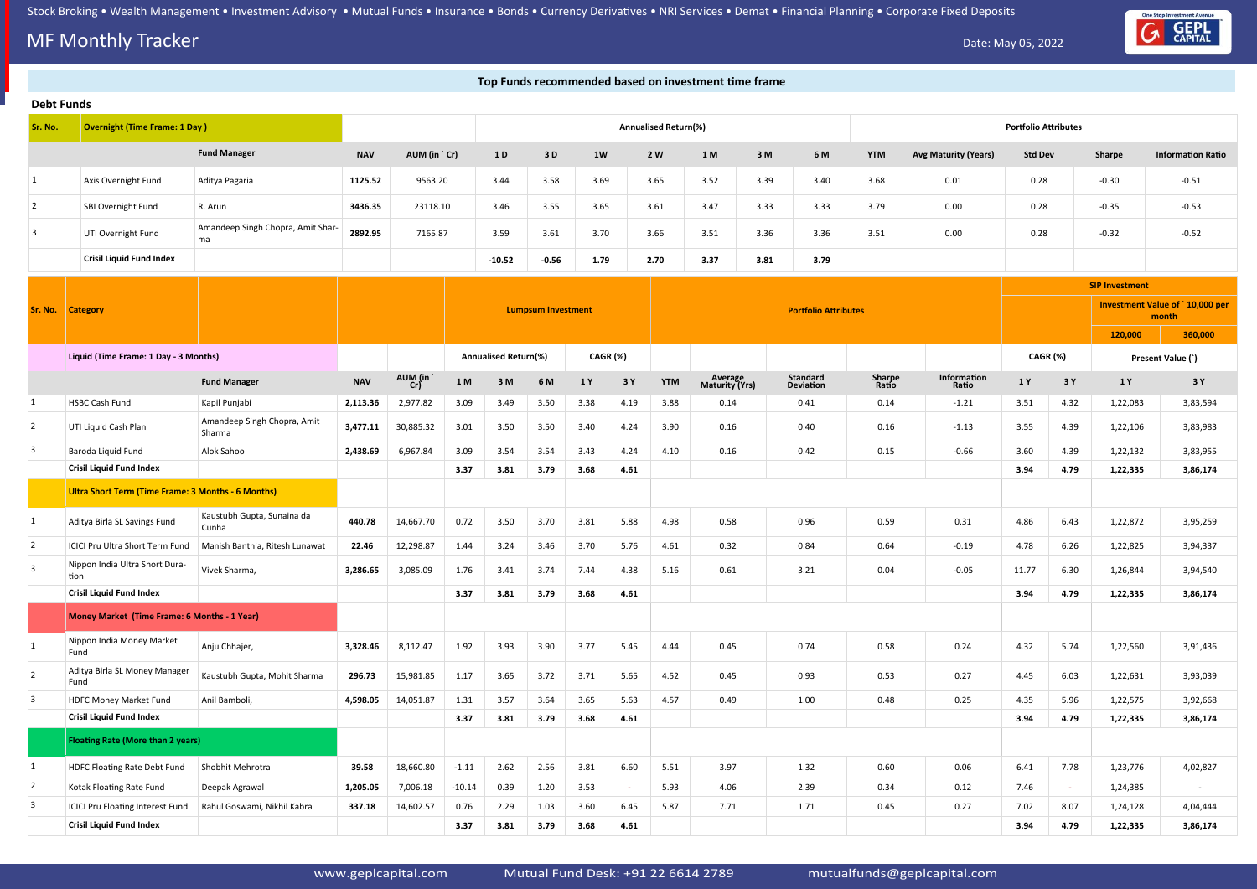# **MF Monthly Tracker** Date: May 05, 2022



|                         |                                                           |                                         |            |              |          |                      |                           |          |      |                      | Top Funds recommended based on investment time frame |      |                             |                 |                             |                             |          |                       |                                          |
|-------------------------|-----------------------------------------------------------|-----------------------------------------|------------|--------------|----------|----------------------|---------------------------|----------|------|----------------------|------------------------------------------------------|------|-----------------------------|-----------------|-----------------------------|-----------------------------|----------|-----------------------|------------------------------------------|
| <b>Debt Funds</b>       |                                                           |                                         |            |              |          |                      |                           |          |      |                      |                                                      |      |                             |                 |                             |                             |          |                       |                                          |
| Sr. No.                 | <b>Overnight (Time Frame: 1 Day)</b>                      |                                         |            |              |          |                      |                           |          |      | Annualised Return(%) |                                                      |      |                             |                 |                             | <b>Portfolio Attributes</b> |          |                       |                                          |
|                         |                                                           | <b>Fund Manager</b>                     | <b>NAV</b> | AUM (in `Cr) |          | 1 D                  | 3D                        | 1W       |      | 2 W                  | 1 M                                                  | 3M   | 6 M                         | <b>YTM</b>      | <b>Avg Maturity (Years)</b> | <b>Std Dev</b>              |          | Sharpe                | <b>Information Ratio</b>                 |
| $\mathbf{1}$            | Axis Overnight Fund                                       | Aditya Pagaria                          | 1125.52    | 9563.20      |          | 3.44                 | 3.58                      | 3.69     |      | 3.65                 | 3.52                                                 | 3.39 | 3.40                        | 3.68            | 0.01                        | 0.28                        |          | $-0.30$               | $-0.51$                                  |
| $\overline{2}$          | SBI Overnight Fund                                        | R. Arun                                 | 3436.35    | 23118.10     |          | 3.46                 | 3.55                      | 3.65     |      | 3.61                 | 3.47                                                 | 3.33 | 3.33                        | 3.79            | 0.00                        | 0.28                        |          | $-0.35$               | $-0.53$                                  |
| 3                       | UTI Overnight Fund                                        | Amandeep Singh Chopra, Amit Shar-<br>ma | 2892.95    | 7165.87      |          | 3.59                 | 3.61                      | 3.70     |      | 3.66                 | 3.51                                                 | 3.36 | 3.36                        | 3.51            | 0.00                        | 0.28                        |          | $-0.32$               | $-0.52$                                  |
|                         | <b>Crisil Liquid Fund Index</b>                           |                                         |            |              |          | $-10.52$             | $-0.56$                   | 1.79     |      | 2.70                 | 3.37                                                 | 3.81 | 3.79                        |                 |                             |                             |          |                       |                                          |
|                         |                                                           |                                         |            |              |          |                      |                           |          |      |                      |                                                      |      |                             |                 |                             |                             |          | <b>SIP Investment</b> |                                          |
| Sr. No.                 | <b>Category</b>                                           |                                         |            |              |          |                      | <b>Lumpsum Investment</b> |          |      |                      |                                                      |      | <b>Portfolio Attributes</b> |                 |                             |                             |          |                       | Investment Value of `10,000 per<br>month |
|                         |                                                           |                                         |            |              |          |                      |                           |          |      |                      |                                                      |      |                             |                 |                             |                             |          | 120,000               | 360,000                                  |
|                         | Liquid (Time Frame: 1 Day - 3 Months)                     |                                         |            |              |          | Annualised Return(%) |                           | CAGR (%) |      |                      |                                                      |      |                             |                 |                             | CAGR (%)                    |          |                       | Present Value (`)                        |
|                         |                                                           | <b>Fund Manager</b>                     | <b>NAV</b> | AUM (in      | 1 M      | 3M                   | 6 M                       | 1 Y      | 3 Y  | <b>YTM</b>           | Average<br>Maturity (Yrs)                            |      | Standard<br>Deviation       | Sharpe<br>Ratio | Information<br>Ratio        | 1 Y                         | 3 Y      | 1 Y                   | 3 Y                                      |
| 1                       | HSBC Cash Fund                                            | Kapil Punjabi                           | 2,113.36   | 2,977.82     | 3.09     | 3.49                 | 3.50                      | 3.38     | 4.19 | 3.88                 | 0.14                                                 |      | 0.41                        | 0.14            | $-1.21$                     | 3.51                        | 4.32     | 1,22,083              | 3,83,594                                 |
| $\overline{2}$          | UTI Liquid Cash Plan                                      | Amandeep Singh Chopra, Amit<br>Sharma   | 3,477.11   | 30,885.32    | 3.01     | 3.50                 | 3.50                      | 3.40     | 4.24 | 3.90                 | 0.16                                                 |      | 0.40                        | 0.16            | $-1.13$                     | 3.55                        | 4.39     | 1,22,106              | 3,83,983                                 |
| $\overline{3}$          | Baroda Liquid Fund                                        | Alok Sahoo                              | 2,438.69   | 6,967.84     | 3.09     | 3.54                 | 3.54                      | 3.43     | 4.24 | 4.10                 | 0.16                                                 |      | 0.42                        | 0.15            | $-0.66$                     | 3.60                        | 4.39     | 1,22,132              | 3,83,955                                 |
|                         | <b>Crisil Liquid Fund Index</b>                           |                                         |            |              | 3.37     | 3.81                 | 3.79                      | 3.68     | 4.61 |                      |                                                      |      |                             |                 |                             | 3.94                        | 4.79     | 1,22,335              | 3,86,174                                 |
|                         | <b>Ultra Short Term (Time Frame: 3 Months - 6 Months)</b> |                                         |            |              |          |                      |                           |          |      |                      |                                                      |      |                             |                 |                             |                             |          |                       |                                          |
| $\mathbf{1}$            | Aditya Birla SL Savings Fund                              | Kaustubh Gupta, Sunaina da<br>Cunha     | 440.78     | 14,667.70    | 0.72     | 3.50                 | 3.70                      | 3.81     | 5.88 | 4.98                 | 0.58                                                 |      | 0.96                        | 0.59            | 0.31                        | 4.86                        | 6.43     | 1,22,872              | 3,95,259                                 |
|                         | ICICI Pru Ultra Short Term Fund                           | Manish Banthia, Ritesh Lunawat          | 22.46      | 12,298.87    | 1.44     | 3.24                 | 3.46                      | 3.70     | 5.76 | 4.61                 | 0.32                                                 |      | 0.84                        | 0.64            | $-0.19$                     | 4.78                        | 6.26     | 1,22,825              | 3,94,337                                 |
| $\overline{3}$          | Nippon India Ultra Short Dura-<br>tion                    | Vivek Sharma,                           | 3,286.65   | 3,085.09     | 1.76     | 3.41                 | 3.74                      | 7.44     | 4.38 | 5.16                 | 0.61                                                 |      | 3.21                        | 0.04            | $-0.05$                     | 11.77                       | 6.30     | 1,26,844              | 3,94,540                                 |
|                         | <b>Crisil Liquid Fund Index</b>                           |                                         |            |              | 3.37     | 3.81                 | 3.79                      | 3.68     | 4.61 |                      |                                                      |      |                             |                 |                             | 3.94                        | 4.79     | 1,22,335              | 3,86,174                                 |
|                         | Money Market (Time Frame: 6 Months - 1 Year)              |                                         |            |              |          |                      |                           |          |      |                      |                                                      |      |                             |                 |                             |                             |          |                       |                                          |
| 1                       | Nippon India Money Market<br>Fund                         | Anju Chhajer,                           | 3,328.46   | 8,112.47     | 1.92     | 3.93                 | 3.90                      | 3.77     | 5.45 | 4.44                 | 0.45                                                 |      | 0.74                        | 0.58            | 0.24                        | 4.32                        | 5.74     | 1,22,560              | 3,91,436                                 |
| $\overline{2}$          | Aditya Birla SL Money Manager<br>Fund                     | Kaustubh Gupta, Mohit Sharma            | 296.73     | 15,981.85    | 1.17     | 3.65                 | 3.72                      | 3.71     | 5.65 | 4.52                 | 0.45                                                 |      | 0.93                        | 0.53            | 0.27                        | 4.45                        | 6.03     | 1,22,631              | 3,93,039                                 |
| $\overline{3}$          | <b>HDFC Money Market Fund</b>                             | Anil Bamboli,                           | 4,598.05   | 14,051.87    | 1.31     | 3.57                 | 3.64                      | 3.65     | 5.63 | 4.57                 | 0.49                                                 |      | 1.00                        | 0.48            | 0.25                        | 4.35                        | 5.96     | 1,22,575              | 3,92,668                                 |
|                         | <b>Crisil Liquid Fund Index</b>                           |                                         |            |              | 3.37     | 3.81                 | 3.79                      | 3.68     | 4.61 |                      |                                                      |      |                             |                 |                             | 3.94                        | 4.79     | 1,22,335              | 3,86,174                                 |
|                         | <b>Floating Rate (More than 2 years)</b>                  |                                         |            |              |          |                      |                           |          |      |                      |                                                      |      |                             |                 |                             |                             |          |                       |                                          |
| 1                       | HDFC Floating Rate Debt Fund                              | Shobhit Mehrotra                        | 39.58      | 18,660.80    | $-1.11$  | 2.62                 | 2.56                      | 3.81     | 6.60 | 5.51                 | 3.97                                                 |      | 1.32                        | 0.60            | 0.06                        | 6.41                        | 7.78     | 1,23,776              | 4,02,827                                 |
| $\overline{2}$          | Kotak Floating Rate Fund                                  | Deepak Agrawal                          | 1,205.05   | 7,006.18     | $-10.14$ | 0.39                 | 1.20                      | 3.53     |      | 5.93                 | 4.06                                                 |      | 2.39                        | 0.34            | 0.12                        | 7.46                        | $\omega$ | 1,24,385              | $\overline{\phantom{a}}$                 |
| $\overline{\mathbf{3}}$ | <b>ICICI Pru Floating Interest Fund</b>                   | Rahul Goswami, Nikhil Kabra             | 337.18     | 14,602.57    | 0.76     | 2.29                 | 1.03                      | 3.60     | 6.45 | 5.87<br>7.71<br>1.71 |                                                      |      |                             | 0.45            | 0.27                        | 7.02                        | 8.07     | 1,24,128              | 4,04,444                                 |
|                         | <b>Crisil Liquid Fund Index</b>                           |                                         |            |              | 3.37     | 3.81                 | 3.79                      | 3.68     | 4.61 |                      |                                                      |      |                             |                 |                             | 3.94                        | 4.79     | 1,22,335              | 3,86,174                                 |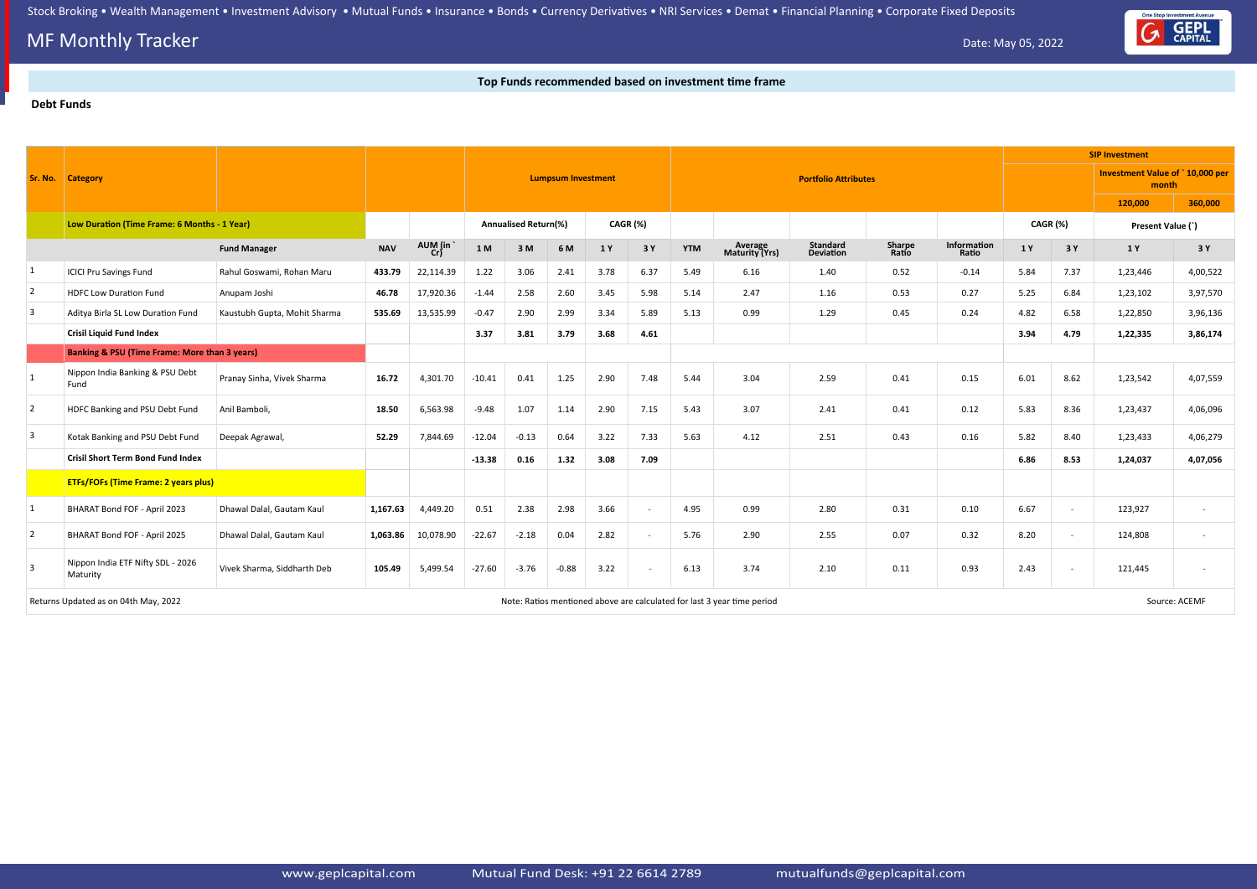## **MF Monthly Tracker** Date: May 05, 2022

### **Top Funds recommended based on investment time frame**

#### **Debt Funds**



|                         |                                                          |                              |            |           |          |                             |                           |          |        |            |                                                                         |                             |                 |                      | <b>SIP Investment</b> |      |                                          |               |
|-------------------------|----------------------------------------------------------|------------------------------|------------|-----------|----------|-----------------------------|---------------------------|----------|--------|------------|-------------------------------------------------------------------------|-----------------------------|-----------------|----------------------|-----------------------|------|------------------------------------------|---------------|
|                         | <b>Sr. No. Category</b>                                  |                              |            |           |          |                             | <b>Lumpsum Investment</b> |          |        |            |                                                                         | <b>Portfolio Attributes</b> |                 |                      |                       |      | Investment Value of `10,000 per<br>month |               |
|                         |                                                          |                              |            |           |          |                             |                           |          |        |            |                                                                         |                             |                 |                      |                       |      | 120,000                                  | 360,000       |
|                         | Low Duration (Time Frame: 6 Months - 1 Year)             |                              |            |           |          | <b>Annualised Return(%)</b> |                           | CAGR (%) |        |            |                                                                         |                             |                 |                      | CAGR (%)              |      | Present Value (`)                        |               |
|                         |                                                          | <b>Fund Manager</b>          | <b>NAV</b> | AUM (in   | $1\,$ M  | 3M                          | 6 M                       | 1 Y      | 3 Y    | <b>YTM</b> | Average<br>Maturity (Yrs)                                               | Standard<br>Deviation       | Sharpe<br>Ratio | Information<br>Ratio | 1 Y                   | 3 Y  | 1 Y                                      | 3Y            |
| $\mathbf{1}$            | <b>ICICI Pru Savings Fund</b>                            | Rahul Goswami, Rohan Maru    | 433.79     | 22,114.39 | 1.22     | 3.06                        | 2.41                      | 3.78     | 6.37   | 5.49       | 6.16                                                                    | 1.40                        | 0.52            | $-0.14$              | 5.84                  | 7.37 | 1,23,446                                 | 4,00,522      |
| $\overline{2}$          | <b>HDFC Low Duration Fund</b>                            | Anupam Joshi                 | 46.78      | 17,920.36 | $-1.44$  | 2.58                        | 2.60                      | 3.45     | 5.98   | 5.14       | 2.47                                                                    | 1.16                        | 0.53            | 0.27                 | 5.25                  | 6.84 | 1,23,102                                 | 3,97,570      |
| $\overline{\mathbf{3}}$ | Aditya Birla SL Low Duration Fund                        | Kaustubh Gupta, Mohit Sharma | 535.69     | 13,535.99 | $-0.47$  | 2.90                        | 2.99                      | 3.34     | 5.89   | 5.13       | 0.99                                                                    | 1.29                        | 0.45            | 0.24                 | 4.82                  | 6.58 | 1,22,850                                 | 3,96,136      |
|                         | <b>Crisil Liquid Fund Index</b>                          |                              |            |           | 3.37     | 3.81                        | 3.79                      | 3.68     | 4.61   |            |                                                                         |                             |                 |                      | 3.94                  | 4.79 | 1,22,335                                 | 3,86,174      |
|                         | <b>Banking &amp; PSU (Time Frame: More than 3 years)</b> |                              |            |           |          |                             |                           |          |        |            |                                                                         |                             |                 |                      |                       |      |                                          |               |
|                         | Nippon India Banking & PSU Debt<br>Fund                  | Pranay Sinha, Vivek Sharma   | 16.72      | 4,301.70  | $-10.41$ | 0.41                        | 1.25                      | 2.90     | 7.48   | 5.44       | 3.04                                                                    | 2.59                        | 0.41            | 0.15                 | 6.01                  | 8.62 | 1,23,542                                 | 4,07,559      |
| $\overline{2}$          | HDFC Banking and PSU Debt Fund                           | Anil Bamboli,                | 18.50      | 6,563.98  | $-9.48$  | 1.07                        | 1.14                      | 2.90     | 7.15   | 5.43       | 3.07                                                                    | 2.41                        | 0.41            | 0.12                 | 5.83                  | 8.36 | 1,23,437                                 | 4,06,096      |
| $\overline{3}$          | Kotak Banking and PSU Debt Fund                          | Deepak Agrawal,              | 52.29      | 7,844.69  | $-12.04$ | $-0.13$                     | 0.64                      | 3.22     | 7.33   | 5.63       | 4.12                                                                    | 2.51                        | 0.43            | 0.16                 | 5.82                  | 8.40 | 1,23,433                                 | 4,06,279      |
|                         | <b>Crisil Short Term Bond Fund Index</b>                 |                              |            |           | $-13.38$ | 0.16                        | 1.32                      | 3.08     | 7.09   |            |                                                                         |                             |                 |                      | 6.86                  | 8.53 | 1,24,037                                 | 4,07,056      |
|                         | <b>ETFs/FOFs (Time Frame: 2 years plus)</b>              |                              |            |           |          |                             |                           |          |        |            |                                                                         |                             |                 |                      |                       |      |                                          |               |
| $\vert$ 1               | BHARAT Bond FOF - April 2023                             | Dhawal Dalal, Gautam Kaul    | 1,167.63   | 4,449.20  | 0.51     | 2.38                        | 2.98                      | 3.66     | $\sim$ | 4.95       | 0.99                                                                    | 2.80                        | 0.31            | 0.10                 | 6.67                  |      | 123,927                                  |               |
| $\overline{2}$          | BHARAT Bond FOF - April 2025                             | Dhawal Dalal, Gautam Kaul    | 1,063.86   | 10,078.90 | $-22.67$ | $-2.18$                     | 0.04                      | 2.82     | $\sim$ | 5.76       | 2.90                                                                    | 2.55                        | 0.07            | 0.32                 | 8.20                  |      | 124,808                                  |               |
| $\overline{\mathbf{3}}$ | Nippon India ETF Nifty SDL - 2026<br>Maturity            | Vivek Sharma, Siddharth Deb  | 105.49     | 5,499.54  | $-27.60$ | $-3.76$                     | $-0.88$                   | 3.22     |        | 6.13       | 3.74                                                                    | 2.10                        | 0.11            | 0.93                 | 2.43                  |      | 121,445                                  |               |
|                         | Returns Updated as on 04th May, 2022                     |                              |            |           |          |                             |                           |          |        |            | Note: Ratios mentioned above are calculated for last 3 year time period |                             |                 |                      |                       |      |                                          | Source: ACEMF |